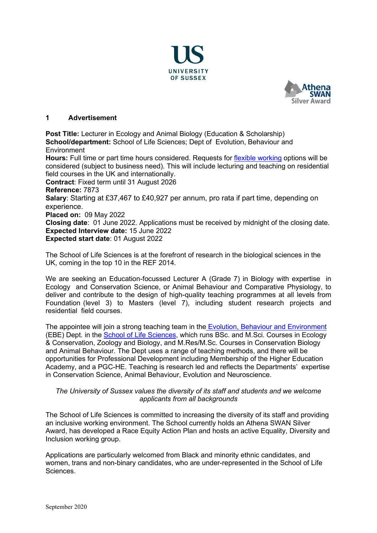



## **1 Advertisement**

**Post Title:** Lecturer in Ecology and Animal Biology (Education & Scholarship) **School/department:** School of Life Sciences; Dept of Evolution, Behaviour and Environment

**Hours:** Full time or part time hours considered. Requests for [flexible working](http://www.sussex.ac.uk/humanresources/personnel/flexible-working) options will be considered (subject to business need). This will include lecturing and teaching on residential field courses in the UK and internationally.

**Contract**: Fixed term until 31 August 2026

**Reference:** 7873

**Salary**: Starting at £37,467 to £40,927 per annum, pro rata if part time, depending on experience.

**Placed on:** 09 May 2022

**Closing date**: 01 June 2022. Applications must be received by midnight of the closing date. **Expected Interview date:** 15 June 2022

**Expected start date**: 01 August 2022

The School of Life Sciences is at the forefront of research in the biological sciences in the UK, coming in the top 10 in the REF 2014.

We are seeking an Education-focussed Lecturer A (Grade 7) in Biology with expertise in Ecology and Conservation Science, or Animal Behaviour and Comparative Physiology, to deliver and contribute to the design of high-quality teaching programmes at all levels from Foundation (level 3) to Masters (level 7), including student research projects and residential field courses.

The appointee will join a strong teaching team in the [Evolution, Behaviour and Environment](http://www.sussex.ac.uk/lifesci/ebe/) (EBE) Dept. in the **School of Life Sciences**, which runs BSc. and M.Sci. Courses in Ecology & Conservation, Zoology and Biology, and M.Res/M.Sc. Courses in Conservation Biology and Animal Behaviour. The Dept uses a range of teaching methods, and there will be opportunities for Professional Development including Membership of the Higher Education Academy, and a PGC-HE. Teaching is research led and reflects the Departments' expertise in Conservation Science, Animal Behaviour, Evolution and Neuroscience.

## *The University of Sussex values the diversity of its staff and students and we welcome applicants from all backgrounds*

The School of Life Sciences is committed to increasing the diversity of its staff and providing an inclusive working environment. The School currently holds an Athena SWAN Silver Award, has developed a Race Equity Action Plan and hosts an active Equality, Diversity and Inclusion working group.

Applications are particularly welcomed from Black and minority ethnic candidates, and women, trans and non-binary candidates, who are under-represented in the School of Life Sciences.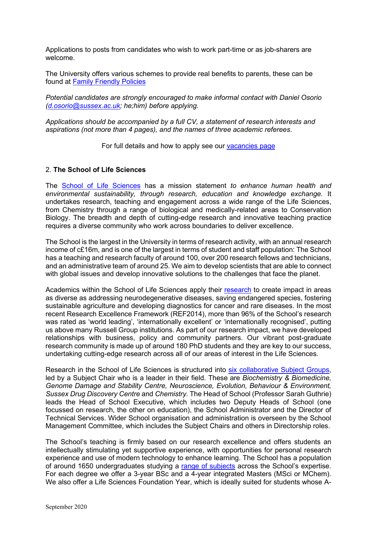Applications to posts from candidates who wish to work part-time or as job-sharers are welcome.

The University offers various schemes to provide real benefits to parents, these can be found at [Family Friendly Policies](http://www.sussex.ac.uk/humanresources/personnel/familyfriendlypolicies)

*Potential candidates are strongly encouraged to make informal contact with Daniel Osorio [\(d.osorio@sussex.ac.uk;](mailto:d.osorio@sussex.ac.uk) he;him) before applying.* 

*Applications should be accompanied by a full CV, a statement of research interests and aspirations (not more than 4 pages), and the names of three academic referees.*

For full details and how to apply see our [vacancies page](http://www.sussex.ac.uk/about/jobs)

#### 2. **The School of Life Sciences**

The [School of Life Sciences](http://www.sussex.ac.uk/lifesci/) has a mission statement *to enhance human health and environmental sustainability, through research, education and knowledge exchange.* It undertakes research, teaching and engagement across a wide range of the Life Sciences, from Chemistry through a range of biological and medically-related areas to Conservation Biology. The breadth and depth of cutting-edge research and innovative teaching practice requires a diverse community who work across boundaries to deliver excellence.

The School is the largest in the University in terms of research activity, with an annual research income of c£16m, and is one of the largest in terms of student and staff population: The School has a teaching and research faculty of around 100, over 200 research fellows and technicians, and an administrative team of around 25. We aim to develop scientists that are able to connect with global issues and develop innovative solutions to the challenges that face the planet.

Academics within the School of Life Sciences apply their [research](http://www.sussex.ac.uk/lifesci/research) to create impact in areas as diverse as addressing neurodegenerative diseases, saving endangered species, fostering sustainable agriculture and developing diagnostics for cancer and rare diseases. In the most recent Research Excellence Framework (REF2014), more than 96% of the School's research was rated as 'world leading', 'internationally excellent' or 'internationally recognised', putting us above many Russell Group institutions. As part of our research impact, we have developed relationships with business, policy and community partners. Our vibrant post-graduate research community is made up of around 180 PhD students and they are key to our success, undertaking cutting-edge research across all of our areas of interest in the Life Sciences.

Research in the School of Life Sciences is structured into [six collaborative Subject Groups,](http://www.sussex.ac.uk/lifesci/) led by a Subject Chair who is a leader in their field. These are *Biochemistry & Biomedicine, Genome Damage and Stability Centre, Neuroscience, Evolution, Behaviour & Environment, Sussex Drug Discovery Centre* and *Chemistry.* The Head of School (Professor Sarah Guthrie) leads the Head of School Executive, which includes two Deputy Heads of School (one focussed on research, the other on education), the School Administrator and the Director of Technical Services. Wider School organisation and administration is overseen by the School Management Committee, which includes the Subject Chairs and others in Directorship roles.

The School's teaching is firmly based on our research excellence and offers students an intellectually stimulating yet supportive experience, with opportunities for personal research experience and use of modern technology to enhance learning. The School has a population of around 1650 undergraduates studying a [range of subjects](http://www.sussex.ac.uk/lifesci/ugstudy) across the School's expertise. For each degree we offer a 3-year BSc and a 4-year integrated Masters (MSci or MChem). We also offer a Life Sciences Foundation Year, which is ideally suited for students whose A-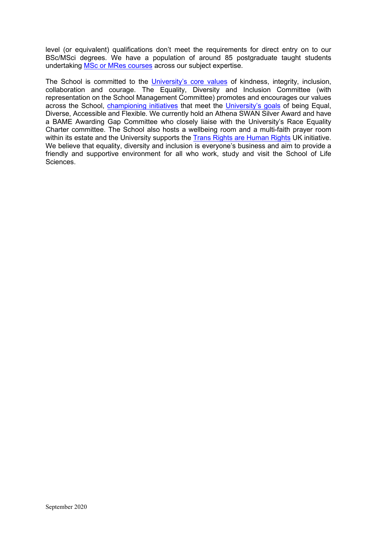level (or equivalent) qualifications don't meet the requirements for direct entry on to our BSc/MSci degrees. We have a population of around 85 postgraduate taught students undertaking [MSc or MRes courses](http://www.sussex.ac.uk/lifesci/pgstudy) across our subject expertise.

The School is committed to the [University's core values](https://www.sussex.ac.uk/strategy/) of kindness, integrity, inclusion, collaboration and courage. The Equality, Diversity and Inclusion Committee (with representation on the School Management Committee) promotes and encourages our values across the School, *championing initiatives* that meet the *University's goals* of being Equal, Diverse, Accessible and Flexible. We currently hold an Athena SWAN Silver Award and have a BAME Awarding Gap Committee who closely liaise with the University's Race Equality Charter committee. The School also hosts a wellbeing room and a multi-faith prayer room within its estate and the University supports the [Trans Rights are Human Rights](https://www.sussex.ac.uk/news/university?id=52962) UK initiative. We believe that equality, diversity and inclusion is everyone's business and aim to provide a friendly and supportive environment for all who work, study and visit the School of Life Sciences.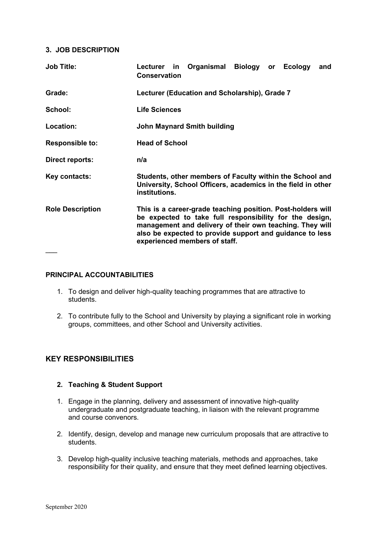## **3. JOB DESCRIPTION**

| Organismal<br>Biology<br><b>Ecology</b><br>Lecturer in<br>and<br><b>or</b><br><b>Conservation</b>                                                                                                                                                                               |
|---------------------------------------------------------------------------------------------------------------------------------------------------------------------------------------------------------------------------------------------------------------------------------|
| Lecturer (Education and Scholarship), Grade 7                                                                                                                                                                                                                                   |
| <b>Life Sciences</b>                                                                                                                                                                                                                                                            |
| <b>John Maynard Smith building</b>                                                                                                                                                                                                                                              |
| <b>Head of School</b>                                                                                                                                                                                                                                                           |
| n/a                                                                                                                                                                                                                                                                             |
| Students, other members of Faculty within the School and<br>University, School Officers, academics in the field in other<br>institutions.                                                                                                                                       |
| This is a career-grade teaching position. Post-holders will<br>be expected to take full responsibility for the design,<br>management and delivery of their own teaching. They will<br>also be expected to provide support and guidance to less<br>experienced members of staff. |
|                                                                                                                                                                                                                                                                                 |

## **PRINCIPAL ACCOUNTABILITIES**

- 1. To design and deliver high-quality teaching programmes that are attractive to students.
- 2. To contribute fully to the School and University by playing a significant role in working groups, committees, and other School and University activities.

# **KEY RESPONSIBILITIES**

## **2. Teaching & Student Support**

- 1. Engage in the planning, delivery and assessment of innovative high-quality undergraduate and postgraduate teaching, in liaison with the relevant programme and course convenors.
- 2. Identify, design, develop and manage new curriculum proposals that are attractive to students.
- 3. Develop high-quality inclusive teaching materials, methods and approaches, take responsibility for their quality, and ensure that they meet defined learning objectives.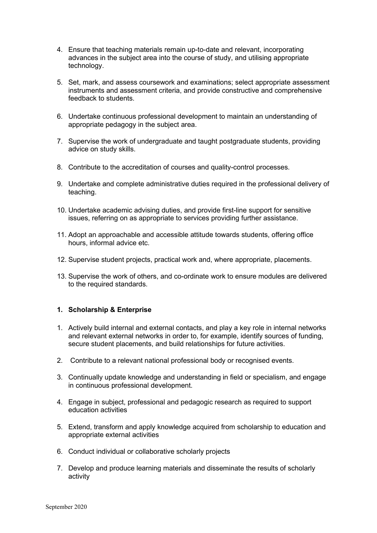- 4. Ensure that teaching materials remain up-to-date and relevant, incorporating advances in the subject area into the course of study, and utilising appropriate technology.
- 5. Set, mark, and assess coursework and examinations; select appropriate assessment instruments and assessment criteria, and provide constructive and comprehensive feedback to students.
- 6. Undertake continuous professional development to maintain an understanding of appropriate pedagogy in the subject area.
- 7. Supervise the work of undergraduate and taught postgraduate students, providing advice on study skills.
- 8. Contribute to the accreditation of courses and quality-control processes.
- 9. Undertake and complete administrative duties required in the professional delivery of teaching.
- 10. Undertake academic advising duties, and provide first-line support for sensitive issues, referring on as appropriate to services providing further assistance.
- 11. Adopt an approachable and accessible attitude towards students, offering office hours, informal advice etc.
- 12. Supervise student projects, practical work and, where appropriate, placements.
- 13. Supervise the work of others, and co-ordinate work to ensure modules are delivered to the required standards.

## **1. Scholarship & Enterprise**

- 1. Actively build internal and external contacts, and play a key role in internal networks and relevant external networks in order to, for example, identify sources of funding, secure student placements, and build relationships for future activities.
- 2. Contribute to a relevant national professional body or recognised events.
- 3. Continually update knowledge and understanding in field or specialism, and engage in continuous professional development.
- 4. Engage in subject, professional and pedagogic research as required to support education activities
- 5. Extend, transform and apply knowledge acquired from scholarship to education and appropriate external activities
- 6. Conduct individual or collaborative scholarly projects
- 7. Develop and produce learning materials and disseminate the results of scholarly activity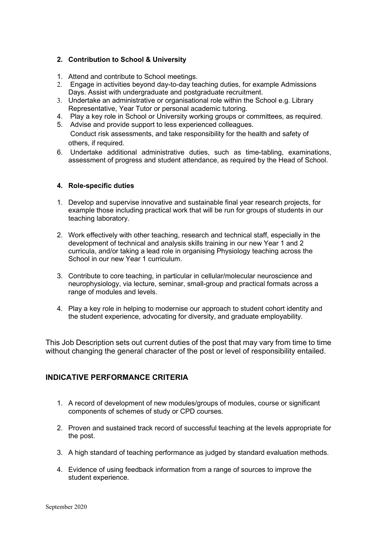## **2. Contribution to School & University**

- 1. Attend and contribute to School meetings.
- 2. Engage in activities beyond day-to-day teaching duties, for example Admissions Days. Assist with undergraduate and postgraduate recruitment.
- 3. Undertake an administrative or organisational role within the School e.g. Library Representative, Year Tutor or personal academic tutoring.
- 4. Play a key role in School or University working groups or committees, as required.
- 5. Advise and provide support to less experienced colleagues.

Conduct risk assessments, and take responsibility for the health and safety of others, if required.

6. Undertake additional administrative duties, such as time-tabling, examinations, assessment of progress and student attendance, as required by the Head of School.

### **4. Role-specific duties**

- 1. Develop and supervise innovative and sustainable final year research projects, for example those including practical work that will be run for groups of students in our teaching laboratory.
- 2. Work effectively with other teaching, research and technical staff, especially in the development of technical and analysis skills training in our new Year 1 and 2 curricula, and/or taking a lead role in organising Physiology teaching across the School in our new Year 1 curriculum.
- 3. Contribute to core teaching, in particular in cellular/molecular neuroscience and neurophysiology, via lecture, seminar, small-group and practical formats across a range of modules and levels.
- 4. Play a key role in helping to modernise our approach to student cohort identity and the student experience, advocating for diversity, and graduate employability.

This Job Description sets out current duties of the post that may vary from time to time without changing the general character of the post or level of responsibility entailed.

# **INDICATIVE PERFORMANCE CRITERIA**

- 1. A record of development of new modules/groups of modules, course or significant components of schemes of study or CPD courses.
- 2. Proven and sustained track record of successful teaching at the levels appropriate for the post.
- 3. A high standard of teaching performance as judged by standard evaluation methods.
- 4. Evidence of using feedback information from a range of sources to improve the student experience.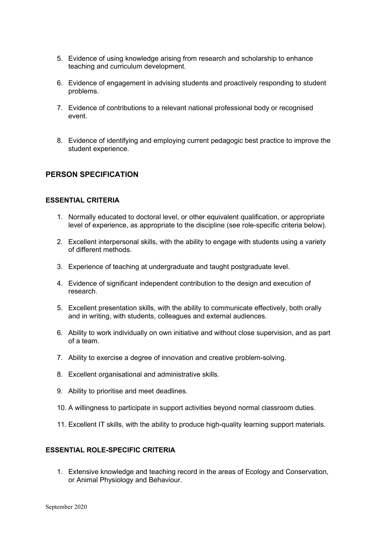- 5. Evidence of using knowledge arising from research and scholarship to enhance teaching and curriculum development.
- 6. Evidence of engagement in advising students and proactively responding to student problems.
- 7. Evidence of contributions to a relevant national professional body or recognised event.
- 8. Evidence of identifying and employing current pedagogic best practice to improve the student experience.

## **PERSON SPECIFICATION**

#### **ESSENTIAL CRITERIA**

- 1. Normally educated to doctoral level, or other equivalent qualification, or appropriate level of experience, as appropriate to the discipline (see role-specific criteria below).
- 2. Excellent interpersonal skills, with the ability to engage with students using a variety of different methods.
- 3. Experience of teaching at undergraduate and taught postgraduate level.
- 4. Evidence of significant independent contribution to the design and execution of research.
- 5. Excellent presentation skills, with the ability to communicate effectively, both orally and in writing, with students, colleagues and external audiences.
- 6. Ability to work individually on own initiative and without close supervision, and as part of a team.
- 7. Ability to exercise a degree of innovation and creative problem-solving.
- 8. Excellent organisational and administrative skills.
- 9. Ability to prioritise and meet deadlines.
- 10. A willingness to participate in support activities beyond normal classroom duties.
- 11. Excellent IT skills, with the ability to produce high-quality learning support materials.

### **ESSENTIAL ROLE-SPECIFIC CRITERIA**

1. Extensive knowledge and teaching record in the areas of Ecology and Conservation, or Animal Physiology and Behaviour.